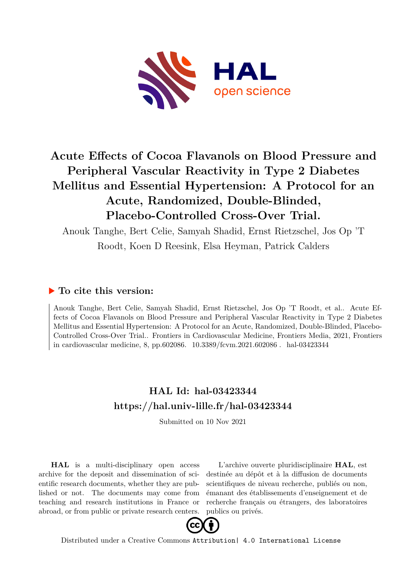

# **Acute Effects of Cocoa Flavanols on Blood Pressure and Peripheral Vascular Reactivity in Type 2 Diabetes Mellitus and Essential Hypertension: A Protocol for an Acute, Randomized, Double-Blinded, Placebo-Controlled Cross-Over Trial.**

Anouk Tanghe, Bert Celie, Samyah Shadid, Ernst Rietzschel, Jos Op 'T Roodt, Koen D Reesink, Elsa Heyman, Patrick Calders

# **To cite this version:**

Anouk Tanghe, Bert Celie, Samyah Shadid, Ernst Rietzschel, Jos Op 'T Roodt, et al.. Acute Effects of Cocoa Flavanols on Blood Pressure and Peripheral Vascular Reactivity in Type 2 Diabetes Mellitus and Essential Hypertension: A Protocol for an Acute, Randomized, Double-Blinded, Placebo-Controlled Cross-Over Trial.. Frontiers in Cardiovascular Medicine, Frontiers Media, 2021, Frontiers in cardiovascular medicine, 8, pp.602086.  $10.3389$ /fcvm.2021.602086  $\ldots$ hal-03423344

# **HAL Id: hal-03423344 <https://hal.univ-lille.fr/hal-03423344>**

Submitted on 10 Nov 2021

**HAL** is a multi-disciplinary open access archive for the deposit and dissemination of scientific research documents, whether they are published or not. The documents may come from teaching and research institutions in France or abroad, or from public or private research centers.

L'archive ouverte pluridisciplinaire **HAL**, est destinée au dépôt et à la diffusion de documents scientifiques de niveau recherche, publiés ou non, émanant des établissements d'enseignement et de recherche français ou étrangers, des laboratoires publics ou privés.



Distributed under a Creative Commons [Attribution| 4.0 International License](http://creativecommons.org/licenses/by/4.0/)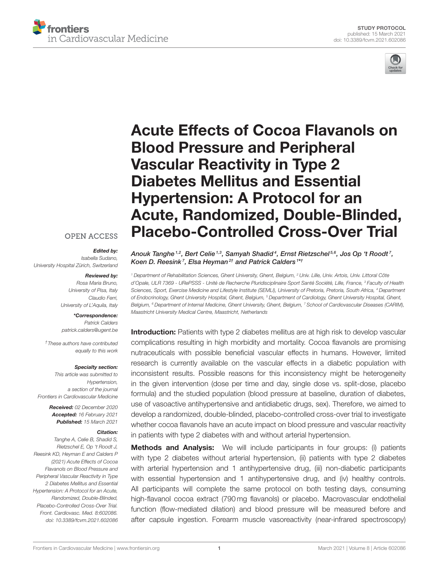



# Acute Effects of Cocoa Flavanols on Blood Pressure and Peripheral Vascular Reactivity in Type 2 Diabetes Mellitus and Essential Hypertension: A Protocol for an [Acute, Randomized, Double-Blinded,](https://www.frontiersin.org/articles/10.3389/fcvm.2021.602086/full) Placebo-Controlled Cross-Over Trial

## **OPEN ACCESS**

#### Edited by:

Isabella Sudano, University Hospital Zürich, Switzerland

#### Reviewed by:

Rosa Maria Bruno, University of Pisa, Italy Claudio Ferri, University of L'Aquila, Italy

# \*Correspondence:

Patrick Calders [patrick.calders@ugent.be](mailto:patrick.calders@ugent.be)

†These authors have contributed equally to this work

#### Specialty section:

This article was submitted to Hypertension, a section of the journal Frontiers in Cardiovascular Medicine

> Received: 02 December 2020 Accepted: 16 February 2021 Published: 15 March 2021

#### Citation:

Tanghe A, Celie B, Shadid S, Rietzschel E, Op 't Roodt J, Reesink KD, Heyman E and Calders P (2021) Acute Effects of Cocoa Flavanols on Blood Pressure and Peripheral Vascular Reactivity in Type 2 Diabetes Mellitus and Essential Hypertension: A Protocol for an Acute, Randomized, Double-Blinded, Placebo-Controlled Cross-Over Trial. Front. Cardiovasc. Med. 8:602086. doi: [10.3389/fcvm.2021.602086](https://doi.org/10.3389/fcvm.2021.602086) Anouk Tanghe $^{1,2}$ , Bert Celie $^{1,3}$ , Samyah Shadid $^{4}$ , Ernst Rietzschel $^{5,6}$ , Jos Op 't Roodt', Koen D. Reesink<sup>7</sup>, Elsa Heyman<sup>2†</sup> and Patrick Calders<sup>1\*†</sup>

<sup>1</sup> Department of Rehabilitation Sciences, Ghent University, Ghent, Belgium, <sup>2</sup> Univ. Lille, Univ. Artois, Univ. Littoral Côte d'Opale, ULR 7369 - URePSSS - Unité de Recherche Pluridisciplinaire Sport Santé Société, Lille, France, <sup>3</sup> Faculty of Health Sciences, Sport, Exercise Medicine and Lifestyle Institute (SEMLI), University of Pretoria, Pretoria, South Africa, <sup>4</sup> Department of Endocrinology, Ghent University Hospital, Ghent, Belgium, <sup>5</sup> Department of Cardiology, Ghent University Hospital, Ghent, Belgium, <sup>6</sup> Department of Internal Medicine, Ghent University, Ghent, Belgium, <sup>7</sup> School of Cardiovascular Diseases (CARIM), Maastricht University Medical Centre, Maastricht, Netherlands

**Introduction:** Patients with type 2 diabetes mellitus are at high risk to develop vascular complications resulting in high morbidity and mortality. Cocoa flavanols are promising nutraceuticals with possible beneficial vascular effects in humans. However, limited research is currently available on the vascular effects in a diabetic population with inconsistent results. Possible reasons for this inconsistency might be heterogeneity in the given intervention (dose per time and day, single dose vs. split-dose, placebo formula) and the studied population (blood pressure at baseline, duration of diabetes, use of vasoactive antihypertensive and antidiabetic drugs, sex). Therefore, we aimed to develop a randomized, double-blinded, placebo-controlled cross-over trial to investigate whether cocoa flavanols have an acute impact on blood pressure and vascular reactivity in patients with type 2 diabetes with and without arterial hypertension.

**Methods and Analysis:** We will include participants in four groups: (i) patients with type 2 diabetes without arterial hypertension, (ii) patients with type 2 diabetes with arterial hypertension and 1 antihypertensive drug, (iii) non-diabetic participants with essential hypertension and 1 antihypertensive drug, and (iv) healthy controls. All participants will complete the same protocol on both testing days, consuming high-flavanol cocoa extract (790 mg flavanols) or placebo. Macrovascular endothelial function (flow-mediated dilation) and blood pressure will be measured before and after capsule ingestion. Forearm muscle vasoreactivity (near-infrared spectroscopy)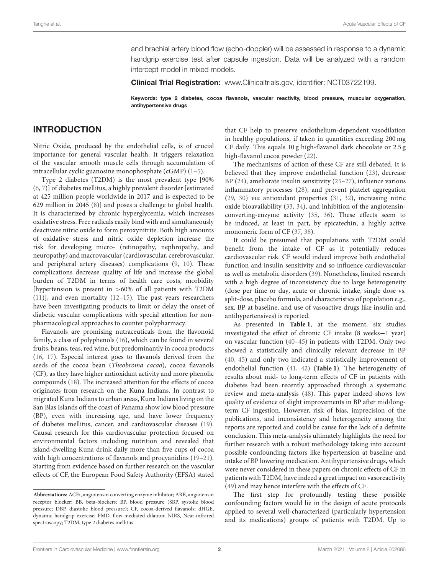and brachial artery blood flow (echo-doppler) will be assessed in response to a dynamic handgrip exercise test after capsule ingestion. Data will be analyzed with a random intercept model in mixed models.

Clinical Trial Registration: [www.Clinicaltrials.gov,](http://www.Clinicaltrials.gov) identifier: NCT03722199.

Keywords: type 2 diabetes, cocoa flavanols, vascular reactivity, blood pressure, muscular oxygenation, antihypertensive drugs

### INTRODUCTION

Nitric Oxide, produced by the endothelial cells, is of crucial importance for general vascular health. It triggers relaxation of the vascular smooth muscle cells through accumulation of intracellular cyclic guanosine monophosphate (cGMP) [\(1–](#page-9-0)[5\)](#page-9-1).

Type 2 diabetes (T2DM) is the most prevalent type [90% [\(6,](#page-9-2) [7\)](#page-9-3)] of diabetes mellitus, a highly prevalent disorder [estimated at 425 million people worldwide in 2017 and is expected to be 629 million in 2045 [\(8\)](#page-9-4)] and poses a challenge to global health. It is characterized by chronic hyperglycemia, which increases oxidative stress. Free radicals easily bind with and simultaneously deactivate nitric oxide to form peroxynitrite. Both high amounts of oxidative stress and nitric oxide depletion increase the risk for developing micro- (retinopathy, nephropathy, and neuropathy) and macrovascular (cardiovascular, cerebrovascular, and peripheral artery diseases) complications [\(9,](#page-9-5) [10\)](#page-9-6). These complications decrease quality of life and increase the global burden of T2DM in terms of health care costs, morbidity [hypertension is present in >60% of all patients with T2DM [\(11\)](#page-9-7)], and even mortality [\(12–](#page-9-8)[15\)](#page-9-9). The past years researchers have been investigating products to limit or delay the onset of diabetic vascular complications with special attention for nonpharmacological approaches to counter polypharmacy.

Flavanols are promising nutraceuticals from the flavonoid family, a class of polyphenols [\(16\)](#page-9-10), which can be found in several fruits, beans, teas, red wine, but predominantly in cocoa products [\(16,](#page-9-10) [17\)](#page-9-11). Especial interest goes to flavanols derived from the seeds of the cocoa bean (Theobroma cacao), cocoa flavanols (CF), as they have higher antioxidant activity and more phenolic compounds [\(18\)](#page-9-12). The increased attention for the effects of cocoa originates from research on the Kuna Indians. In contrast to migrated Kuna Indians to urban areas, Kuna Indians living on the San Blas Islands off the coast of Panama show low blood pressure (BP), even with increasing age, and have lower frequency of diabetes mellitus, cancer, and cardiovascular diseases [\(19\)](#page-9-13). Causal research for this cardiovascular protection focused on environmental factors including nutrition and revealed that island-dwelling Kuna drink daily more than five cups of cocoa with high concentrations of flavanols and procyanidins [\(19–](#page-9-13)[21\)](#page-9-14). Starting from evidence based on further research on the vascular effects of CF, the European Food Safety Authority (EFSA) stated that CF help to preserve endothelium-dependent vasodilation in healthy populations, if taken in quantities exceeding 200 mg CF daily. This equals 10 g high-flavanol dark chocolate or 2.5 g high-flavanol cocoa powder [\(22\)](#page-9-15).

The mechanisms of action of these CF are still debated. It is believed that they improve endothelial function [\(23\)](#page-9-16), decrease BP [\(24\)](#page-9-17), ameliorate insulin sensitivity [\(25](#page-9-18)[–27\)](#page-9-19), influence various inflammatory processes [\(28\)](#page-9-20), and prevent platelet aggregation [\(29,](#page-9-21) [30\)](#page-9-22) via antioxidant properties [\(31,](#page-9-23) [32\)](#page-9-24), increasing nitric oxide bioavailability [\(33,](#page-9-25) [34\)](#page-9-26), and inhibition of the angiotensinconverting-enzyme activity [\(35,](#page-9-27) [36\)](#page-9-28). These effects seem to be induced, at least in part, by epicatechin, a highly active monomeric form of CF [\(37,](#page-9-29) [38\)](#page-9-30).

It could be presumed that populations with T2DM could benefit from the intake of CF as it potentially reduces cardiovascular risk. CF would indeed improve both endothelial function and insulin sensitivity and so influence cardiovascular as well as metabolic disorders [\(39\)](#page-9-31). Nonetheless, limited research with a high degree of inconsistency due to large heterogeneity (dose per time or day, acute or chronic intake, single dose vs. split-dose, placebo formula, and characteristics of population e.g., sex, BP at baseline, and use of vasoactive drugs like insulin and antihypertensives) is reported.

As presented in **[Table 1](#page-3-0)**, at the moment, six studies investigated the effect of chronic CF intake (8 weeks−1 year) on vascular function [\(40–](#page-10-0)[45\)](#page-10-1) in patients with T2DM. Only two showed a statistically and clinically relevant decrease in BP [\(40,](#page-10-0) [45\)](#page-10-1) and only two indicated a statistically improvement of endothelial function [\(41,](#page-10-2) [42\)](#page-10-3) (**[Table 1](#page-3-0)**). The heterogeneity of results about mid- to long-term effects of CF in patients with diabetes had been recently approached through a systematic review and meta-analysis [\(48\)](#page-10-4). This paper indeed shows low quality of evidence of slight improvements in BP after mid/longterm CF ingestion. However, risk of bias, imprecision of the publications, and inconsistency and heterogeneity among the reports are reported and could be cause for the lack of a definite conclusion. This meta-analysis ultimately highlights the need for further research with a robust methodology taking into account possible confounding factors like hypertension at baseline and intake of BP lowering medication. Antihypertensive drugs, which were never considered in these papers on chronic effects of CF in patients with T2DM, have indeed a great impact on vasoreactivity [\(49\)](#page-10-5) and may hence interfere with the effects of CF.

The first step for profoundly testing these possible confounding factors would lie in the design of acute protocols applied to several well-characterized (particularly hypertension and its medications) groups of patients with T2DM. Up to

**Abbreviations:** ACEi, angiotensin converting enzyme inhibitor; ARB, angiotensin receptor blocker; BB, beta-blockers; BP, blood pressure (SBP, systolic blood pressure; DBP, diastolic blood pressure); CF, cocoa-derived flavanols; dHGE, dynamic handgrip exercise; FMD, flow-mediated dilation; NIRS, Near-infrared spectroscopy; T2DM, type 2 diabetes mellitus.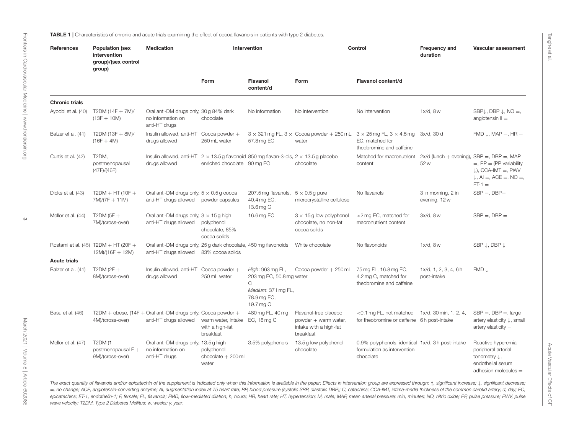<span id="page-3-0"></span>

| References            | <b>Population (sex</b><br>intervention<br>group)/(sex control<br>group) | <b>Medication</b>                                                                                                    | Intervention                                       |                                                                                                     | Control                                                                              |                                                                                                                                                            | Frequency and<br>duration                           | Vascular assessment                                                                                                  |
|-----------------------|-------------------------------------------------------------------------|----------------------------------------------------------------------------------------------------------------------|----------------------------------------------------|-----------------------------------------------------------------------------------------------------|--------------------------------------------------------------------------------------|------------------------------------------------------------------------------------------------------------------------------------------------------------|-----------------------------------------------------|----------------------------------------------------------------------------------------------------------------------|
|                       |                                                                         |                                                                                                                      | Form                                               | Flavanol<br>content/d                                                                               | Form                                                                                 | Flavanol content/d                                                                                                                                         |                                                     |                                                                                                                      |
| <b>Chronic trials</b> |                                                                         |                                                                                                                      |                                                    |                                                                                                     |                                                                                      |                                                                                                                                                            |                                                     |                                                                                                                      |
| Ayoobi et al. (40)    | T2DM (14F + 7M)/<br>$(13F + 10M)$                                       | Oral anti-DM drugs only, 30 g 84% dark<br>no information on<br>anti-HT drugs                                         | chocolate                                          | No information                                                                                      | No intervention                                                                      | No intervention                                                                                                                                            | $1x/d$ , $8w$                                       | SBP $\downarrow$ , DBP $\downarrow$ , NO =,<br>angiotensin $II =$                                                    |
| Balzer et al. (41)    | $T2DM (13F + 8M)/$<br>$(16F + 4M)$                                      | Insulin allowed, anti-HT<br>drugs allowed                                                                            | Cocoa powder $+$<br>250 mL water                   | 57.8 mg EC                                                                                          | water                                                                                | $3 \times 321$ mg FL, $3 \times$ Cocoa powder + 250 mL $3 \times 25$ mg FL, $3 \times 4.5$ mg $3x/d$ , 30 d<br>EC, matched for<br>theobromine and caffeine |                                                     | FMD $\downarrow$ , MAP =, HR =                                                                                       |
| Curtis et al. (42)    | T <sub>2</sub> DM.<br>postmenopausal<br>(47F)/(46F)                     | Insulin allowed, anti-HT $2 \times 13.5$ g flavonoid 850 mg flavan-3-ols, $2 \times 13.5$ g placebo<br>drugs allowed | enriched chocolate 90 mg EC                        |                                                                                                     | chocolate                                                                            | Matched for macronutrient<br>content                                                                                                                       | $2x/d$ (lunch + evening), SBP =, DBP =, MAP<br>52 w | $=$ , PP $=$ (PP variability<br>$\downarrow$ ), CCA-IMT =, PWV<br>$\downarrow$ , Al =, ACE =, NO =,<br>$ET-1 =$      |
| Dicks et al. (43)     | $T2DM + HT(10F +$<br>$7M)/(7F + 11M)$                                   | Oral anti-DM drugs only, $5 \times 0.5$ g cocoa<br>anti-HT drugs allowed                                             | powder capsules                                    | 207.5 mg flavanols, $5 \times 0.5$ g pure<br>40.4 mg EC,<br>13.6 mg C                               | microcrystalline cellulose                                                           | No flavanols                                                                                                                                               | 3 in morning, 2 in<br>evening, 12 w                 | $SBP =$ , $DBP =$                                                                                                    |
| Mellor et al. (44)    | T2DM (5F $+$<br>7M)/(cross-over)                                        | Oral anti-DM drugs only, $3 \times 15$ g high<br>anti-HT drugs allowed                                               | polyphenol<br>chocolate, 85%<br>cocoa solids       | 16.6 mg EC                                                                                          | $3 \times 15$ g low polyphenol<br>chocolate, no non-fat<br>cocoa solids              | <2 mg EC, matched for<br>macronutrient content                                                                                                             | $3x/d$ , $8w$                                       | $SBP =$ , $DBP =$                                                                                                    |
|                       | Rostami et al. (45) T2DM + HT (20F +<br>$12M)/(16F + 12M)$              | Oral anti-DM drugs only, 25 g dark chocolate, 450 mg flavonoids<br>anti-HT drugs allowed                             | 83% cocoa solids                                   |                                                                                                     | White chocolate                                                                      | No flavonoids                                                                                                                                              | $1x/d$ , $8w$                                       | SBP ↓, DBP ↓                                                                                                         |
| <b>Acute trials</b>   |                                                                         |                                                                                                                      |                                                    |                                                                                                     |                                                                                      |                                                                                                                                                            |                                                     |                                                                                                                      |
| Balzer et al. (41)    | T2DM ( $2F +$<br>8M)/(cross-over)                                       | Insulin allowed, anti-HT<br>drugs allowed                                                                            | Cocoa powder +<br>250 mL water                     | High: 963 mg FL,<br>203 mg EC, 50.8 mg water<br>C<br>Medium: 371 mg FL,<br>78.9 mg EC,<br>19.7 mg C | Cocoa powder $+250$ mL                                                               | 75 mg FL, 16.8 mg EC,<br>4.2 mg C, matched for<br>theobromine and caffeine                                                                                 | 1x/d, 1, 2, 3, 4, 6h<br>post-intake                 | $FMD \downarrow$                                                                                                     |
| Basu et al. (46)      | 4M)/(cross-over)                                                        | T2DM + obese, $(14F + 0$ ral anti-DM drugs only, Cocoa powder +<br>anti-HT drugs allowed                             | warm water, intake<br>with a high-fat<br>breakfast | 480 mg FL, 40 mg<br>EC, 18 mg C                                                                     | Flavanol-free placebo<br>powder + warm water,<br>intake with a high-fat<br>breakfast | <0.1 mg FL, not matched<br>for theobromine or caffeine 6h post-intake                                                                                      | 1x/d, 30 min, 1, 2, 4,                              | $SBP =$ , $DBP =$ , large<br>artery elasticity ↓, small<br>artery elasticity $=$                                     |
| Mellor et al. (47)    | <b>T2DM (1</b><br>postmenopausal F +<br>9M)/(cross-over)                | Oral anti-DM drugs only, 13.5 g high<br>no information on<br>anti-HT drugs                                           | polyphenol<br>chocolate + 200 mL<br>water          | 3.5% polyphenols                                                                                    | 13.5 g low polyphenol<br>chocolate                                                   | 0.9% polyphenols, identical 1x/d, 3h post-intake<br>formulation as intervention<br>chocolate                                                               |                                                     | Reactive hyperemia<br>peripheral arterial<br>tonometry $\downarrow$ ,<br>endothelial serum<br>adhesion molecules $=$ |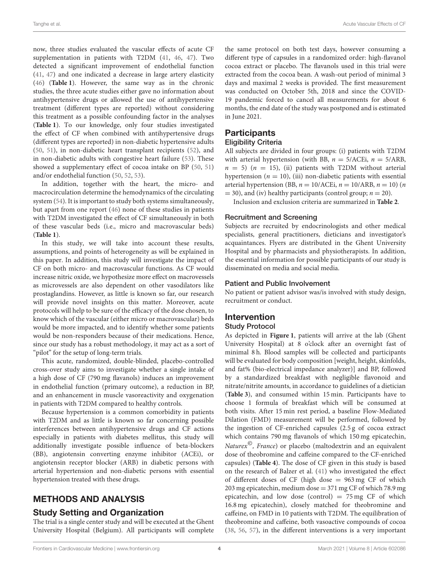now, three studies evaluated the vascular effects of acute CF supplementation in patients with T2DM [\(41,](#page-10-2) [46,](#page-10-14) [47\)](#page-10-15). Two detected a significant improvement of endothelial function [\(41,](#page-10-2) [47\)](#page-10-15) and one indicated a decrease in large artery elasticity [\(46\)](#page-10-14) (**[Table 1](#page-3-0)**). However, the same way as in the chronic studies, the three acute studies either gave no information about antihypertensive drugs or allowed the use of antihypertensive treatment (different types are reported) without considering this treatment as a possible confounding factor in the analyses (**[Table 1](#page-3-0)**). To our knowledge, only four studies investigated the effect of CF when combined with antihypertensive drugs (different types are reported) in non-diabetic hypertensive adults [\(50,](#page-10-16) [51\)](#page-10-17), in non-diabetic heart transplant recipients [\(52\)](#page-10-18), and in non-diabetic adults with congestive heart failure [\(53\)](#page-10-19). These showed a supplementary effect of cocoa intake on BP [\(50,](#page-10-16) [51\)](#page-10-17) and/or endothelial function [\(50,](#page-10-16) [52,](#page-10-18) [53\)](#page-10-19).

In addition, together with the heart, the micro- and macrocirculation determine the hemodynamics of the circulating system [\(54\)](#page-10-20). It is important to study both systems simultaneously, but apart from one report [\(46\)](#page-10-14) none of these studies in patients with T2DM investigated the effect of CF simultaneously in both of these vascular beds (i.e., micro and macrovascular beds) (**[Table 1](#page-3-0)**).

In this study, we will take into account these results, assumptions, and points of heterogeneity as will be explained in this paper. In addition, this study will investigate the impact of CF on both micro- and macrovascular functions. As CF would increase nitric oxide, we hypothesize more effect on macrovessels as microvessels are also dependent on other vasodilators like prostaglandins. However, as little is known so far, our research will provide novel insights on this matter. Moreover, acute protocols will help to be sure of the efficacy of the dose chosen, to know which of the vascular (either micro or macrovascular) beds would be more impacted, and to identify whether some patients would be non-responders because of their medications. Hence, since our study has a robust methodology, it may act as a sort of "pilot" for the setup of long-term trials.

This acute, randomized, double-blinded, placebo-controlled cross-over study aims to investigate whether a single intake of a high dose of CF (790 mg flavanols) induces an improvement in endothelial function (primary outcome), a reduction in BP, and an enhancement in muscle vasoreactivity and oxygenation in patients with T2DM compared to healthy controls.

Because hypertension is a common comorbidity in patients with T2DM and as little is known so far concerning possible interferences between antihypertensive drugs and CF actions especially in patients with diabetes mellitus, this study will additionally investigate possible influence of beta-blockers (BB), angiotensin converting enzyme inhibitor (ACEi), or angiotensin receptor blocker (ARB) in diabetic persons with arterial hypertension and non-diabetic persons with essential hypertension treated with these drugs.

# METHODS AND ANALYSIS

# Study Setting and Organization

The trial is a single center study and will be executed at the Ghent University Hospital (Belgium). All participants will complete the same protocol on both test days, however consuming a different type of capsules in a randomized order: high-flavanol cocoa extract or placebo. The flavanols used in this trial were extracted from the cocoa bean. A wash-out period of minimal 3 days and maximal 2 weeks is provided. The first measurement was conducted on October 5th, 2018 and since the COVID-19 pandemic forced to cancel all measurements for about 6 months, the end date of the study was postponed and is estimated in June 2021.

# **Participants**

#### Eligibility Criteria

All subjects are divided in four groups: (i) patients with T2DM with arterial hypertension (with BB,  $n = 5/ACEi$ ,  $n = 5/ARB$ ,  $n = 5$ ) ( $n = 15$ ), (ii) patients with T2DM without arterial hypertension ( $n = 10$ ), (iii) non-diabetic patients with essential arterial hypertension (BB,  $n = 10/ACE$ i,  $n = 10/ARB$ ,  $n = 10$ ) (n  $=$  30), and (iv) healthy participants (control group;  $n = 20$ ).

Inclusion and exclusion criteria are summarized in **[Table 2](#page-5-0)**.

#### Recruitment and Screening

Subjects are recruited by endocrinologists and other medical specialists, general practitioners, dieticians and investigator's acquaintances. Flyers are distributed in the Ghent University Hospital and by pharmacists and physiotherapists. In addition, the essential information for possible participants of our study is disseminated on media and social media.

### Patient and Public Involvement

No patient or patient advisor was/is involved with study design, recruitment or conduct.

#### Intervention Study Protocol

#### As depicted in **[Figure 1](#page-6-0)**, patients will arrive at the lab (Ghent University Hospital) at 8 o'clock after an overnight fast of minimal 8 h. Blood samples will be collected and participants will be evaluated for body composition [weight, height, skinfolds, and fat% (bio-electrical impedance analyzer)] and BP, followed by a standardized breakfast with negligible flavonoid and nitrate/nitrite amounts, in accordance to guidelines of a dietician (**[Table 3](#page-6-1)**), and consumed within 15 min. Participants have to choose 1 formula of breakfast which will be consumed at both visits. After 15 min rest period, a baseline Flow-Mediated Dilation (FMD) measurement will be performed, followed by the ingestion of CF-enriched capsules (2.5 g of cocoa extract which contains 790 mg flavanols of which 150 mg epicatechin, Naturex $^{\circ}$ , France) or placebo (maltodextrin and an equivalent dose of theobromine and caffeine compared to the CF-enriched capsules) (**[Table 4](#page-6-2)**). The dose of CF given in this study is based on the research of Balzer et al. [\(41\)](#page-10-2) who investigated the effect of different doses of CF (high dose  $= 963 \text{ mg CF}$  of which 203 mg epicatechin, medium dose = 371 mg CF of which 78.9 mg epicatechin, and low dose (control)  $= 75$  mg CF of which 16.8 mg epicatechin), closely matched for theobromine and caffeine, on FMD in 10 patients with T2DM. The equilibration of theobromine and caffeine, both vasoactive compounds of cocoa [\(38,](#page-9-30) [56,](#page-10-21) [57\)](#page-10-22), in the different interventions is a very important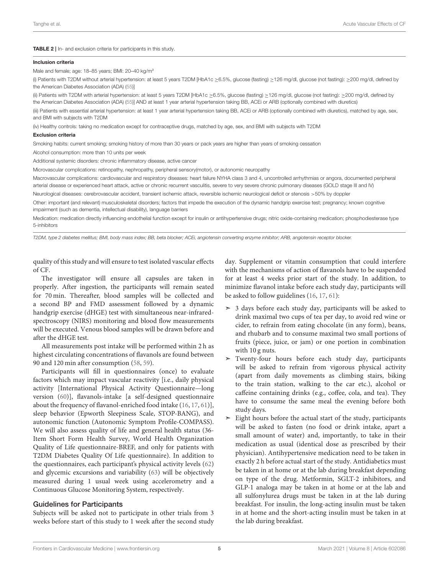#### <span id="page-5-0"></span>TABLE 2 | In- and exclusion criteria for participants in this study.

#### Inclusion criteria

Male and female; age: 18–85 years; BMI: 20–40 kg/m²

(i) Patients with T2DM without arterial hypertension: at least 5 years T2DM [HbA1c ≥6.5%, glucose (fasting) ≥126 mg/dl, glucose (not fasting): ≥200 mg/dl, defined by the American Diabetes Association (ADA) [\(55\)](#page-10-23)]

(ii) Patients with T2DM with arterial hypertension: at least 5 years T2DM [HbA1c ≥6.5%, glucose (fasting) ≥126 mg/dl, glucose (not fasting): ≥200 mg/dl, defined by the American Diabetes Association (ADA) [\(55\)](#page-10-23)] AND at least 1 year arterial hypertension taking BB, ACEi or ARB (optionally combined with diuretics)

(iii) Patients with essential arterial hypertension: at least 1 year arterial hypertension taking BB, ACEi or ARB (optionally combined with diuretics), matched by age, sex, and BMI with subjects with T2DM

(iv) Healthy controls: taking no medication except for contraceptive drugs, matched by age, sex, and BMI with subjects with T2DM

#### Exclusion criteria

Smoking habits: current smoking; smoking history of more than 30 years or pack years are higher than years of smoking cessation

Alcohol consumption: more than 10 units per week

Additional systemic disorders: chronic inflammatory disease, active cancer

Microvascular complications: retinopathy, nephropathy, peripheral sensory(motor), or autonomic neuropathy

Macrovascular complications: cardiovascular and respiratory diseases: heart failure NYHA class 3 and 4, uncontrolled arrhythmias or angora, documented peripheral arterial disease or experienced heart attack, active or chronic recurrent vasculitis, severe to very severe chronic pulmonary diseases (GOLD stage III and IV)

Neurological diseases: cerebrovascular accident, transient ischemic attack, reversible ischemic neurological deficit or stenosis >50% by doppler

Other: important (and relevant) musculoskeletal disorders; factors that impede the execution of the dynamic handgrip exercise test; pregnancy; known cognitive impairment (such as dementia, intellectual disability), language barriers

Medication: medication directly influencing endothelial function except for insulin or antihypertensive drugs; nitric oxide-containing medication; phosphodiesterase type 5-inhibitors

T2DM, type 2 diabetes mellitus; BMI, body mass index; BB, beta blocker; ACEi, angiotensin converting enzyme inhibitor; ARB, angiotensin receptor blocker.

quality of this study and will ensure to test isolated vascular effects of CF.

The investigator will ensure all capsules are taken in properly. After ingestion, the participants will remain seated for 70 min. Thereafter, blood samples will be collected and a second BP and FMD assessment followed by a dynamic handgrip exercise (dHGE) test with simultaneous near-infraredspectroscopy (NIRS) monitoring and blood flow measurements will be executed. Venous blood samples will be drawn before and after the dHGE test.

All measurements post intake will be performed within 2 h as highest circulating concentrations of flavanols are found between 90 and 120 min after consumption [\(58,](#page-10-24) [59\)](#page-10-25).

Participants will fill in questionnaires (once) to evaluate factors which may impact vascular reactivity [i.e., daily physical activity [International Physical Activity Questionnaire—long version [\(60\)](#page-10-26)], flavanols-intake [a self-designed questionnaire about the frequency of flavanol-enriched food intake [\(16,](#page-9-10) [17,](#page-9-11) [61\)](#page-10-27)], sleep behavior (Epworth Sleepiness Scale, STOP-BANG), and autonomic function (Autonomic Symptom Profile-COMPASS). We will also assess quality of life and general health status (36- Item Short Form Health Survey, World Health Organization Quality of Life questionnaire-BREF, and only for patients with T2DM Diabetes Quality Of Life questionnaire). In addition to the questionnaires, each participant's physical activity levels [\(62\)](#page-10-28) and glycemic excursions and variability [\(63\)](#page-10-29) will be objectively measured during 1 usual week using accelerometry and a Continuous Glucose Monitoring System, respectively.

#### Guidelines for Participants

Subjects will be asked not to participate in other trials from 3 weeks before start of this study to 1 week after the second study day. Supplement or vitamin consumption that could interfere with the mechanisms of action of flavanols have to be suspended for at least 4 weeks prior start of the study. In addition, to minimize flavanol intake before each study day, participants will be asked to follow guidelines [\(16,](#page-9-10) [17,](#page-9-11) [61\)](#page-10-27):

- ➣ 3 days before each study day, participants will be asked to drink maximal two cups of tea per day, to avoid red wine or cider, to refrain from eating chocolate (in any form), beans, and rhubarb and to consume maximal two small portions of fruits (piece, juice, or jam) or one portion in combination with 10 g nuts.
- ➣ Twenty-four hours before each study day, participants will be asked to refrain from vigorous physical activity (apart from daily movements as climbing stairs, biking to the train station, walking to the car etc.), alcohol or caffeine containing drinks (e.g., coffee, cola, and tea). They have to consume the same meal the evening before both study days.
- $\geq$  Eight hours before the actual start of the study, participants will be asked to fasten (no food or drink intake, apart a small amount of water) and, importantly, to take in their medication as usual (identical dose as prescribed by their physician). Antihypertensive medication need to be taken in exactly 2 h before actual start of the study. Antidiabetics must be taken in at home or at the lab during breakfast depending on type of the drug. Metformin, SGLT-2 inhibitors, and GLP-1 analoga may be taken in at home or at the lab and all sulfonylurea drugs must be taken in at the lab during breakfast. For insulin, the long-acting insulin must be taken in at home and the short-acting insulin must be taken in at the lab during breakfast.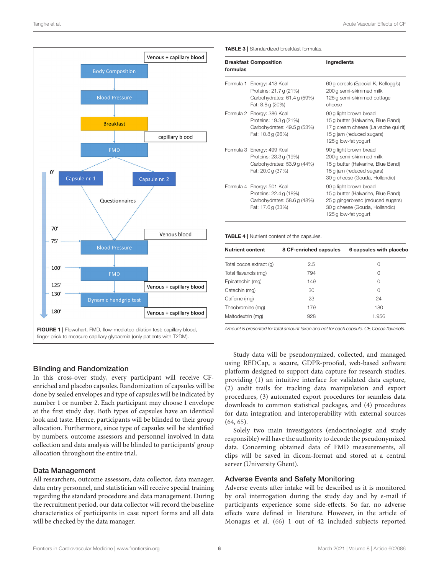

## <span id="page-6-0"></span>Blinding and Randomization

In this cross-over study, every participant will receive CFenriched and placebo capsules. Randomization of capsules will be done by sealed envelopes and type of capsules will be indicated by number 1 or number 2. Each participant may choose 1 envelope at the first study day. Both types of capsules have an identical look and taste. Hence, participants will be blinded to their group allocation. Furthermore, since type of capsules will be identified by numbers, outcome assessors and personnel involved in data collection and data analysis will be blinded to participants' group allocation throughout the entire trial.

## Data Management

All researchers, outcome assessors, data collector, data manager, data entry personnel, and statistician will receive special training regarding the standard procedure and data management. During the recruitment period, our data collector will record the baseline characteristics of participants in case report forms and all data will be checked by the data manager.

<span id="page-6-1"></span>

| formulas | <b>Breakfast Composition</b>                                                                             | Ingredients                                                                                                                                                 |
|----------|----------------------------------------------------------------------------------------------------------|-------------------------------------------------------------------------------------------------------------------------------------------------------------|
|          | Formula 1 Energy: 418 Kcal<br>Proteins: 21.7 g (21%)<br>Carbohydrates: 61.4 g (59%)<br>Fat: 8.8 g (20%)  | 60 g cereals (Special K, Kellogg's)<br>200 g semi-skimmed milk<br>125 g semi-skimmed cottage<br>cheese                                                      |
|          | Formula 2 Energy: 386 Kcal<br>Proteins: 19.3 g (21%)<br>Carbohydrates: 49.5 g (53%)<br>Fat: 10.8 g (26%) | 90 g light brown bread<br>15 g butter (Halvarine, Blue Band)<br>17 g cream cheese (La vache qui rit)<br>15 g jam (reduced sugars)<br>125 g low-fat yogurt   |
|          | Formula 3 Energy: 499 Kcal<br>Proteins: 23.3 g (19%)<br>Carbohydrates: 53.9 g (44%)<br>Fat: 20.0 g (37%) | 90 g light brown bread<br>200 g semi-skimmed milk<br>15 g butter (Halvarine, Blue Band)<br>15 g jam (reduced sugars)<br>30 g cheese (Gouda, Hollandic)      |
|          | Formula 4 Energy: 501 Kcal<br>Proteins: 22.4 g (18%)<br>Carbohydrates: 58.6 g (48%)<br>Fat: 17.6g (33%)  | 90 g light brown bread<br>15 g butter (Halvarine, Blue Band)<br>25 g gingerbread (reduced sugars)<br>30 g cheese (Gouda, Hollandic)<br>125 g low-fat yogurt |

<span id="page-6-2"></span>TABLE 4 | Nutrient content of the capsules.

| <b>Nutrient content</b> | 8 CF-enriched capsules | 6 capsules with placebo |
|-------------------------|------------------------|-------------------------|
| Total cocoa extract (q) | 2.5                    | Ω                       |
| Total flavanols (mg)    | 794                    | 0                       |
| Epicatechin (mg)        | 149                    | 0                       |
| Catechin (mg)           | 30                     | $\Omega$                |
| Caffeine (mg)           | 23                     | 24                      |
| Theobromine (mg)        | 179                    | 180                     |
| Maltodextrin (mg)       | 928                    | 1.956                   |

Amount is presented for total amount taken and not for each capsule. CF, Cocoa flavanols.

Study data will be pseudonymized, collected, and managed using REDCap, a secure, GDPR-proofed, web-based software platform designed to support data capture for research studies, providing (1) an intuitive interface for validated data capture, (2) audit trails for tracking data manipulation and export procedures, (3) automated export procedures for seamless data downloads to common statistical packages, and (4) procedures for data integration and interoperability with external sources [\(64,](#page-10-30) [65\)](#page-10-31).

Solely two main investigators (endocrinologist and study responsible) will have the authority to decode the pseudonymized data. Concerning obtained data of FMD measurements, all clips will be saved in dicom-format and stored at a central server (University Ghent).

### Adverse Events and Safety Monitoring

Adverse events after intake will be described as it is monitored by oral interrogation during the study day and by e-mail if participants experience some side-effects. So far, no adverse effects were defined in literature. However, in the article of Monagas et al. [\(66\)](#page-10-32) 1 out of 42 included subjects reported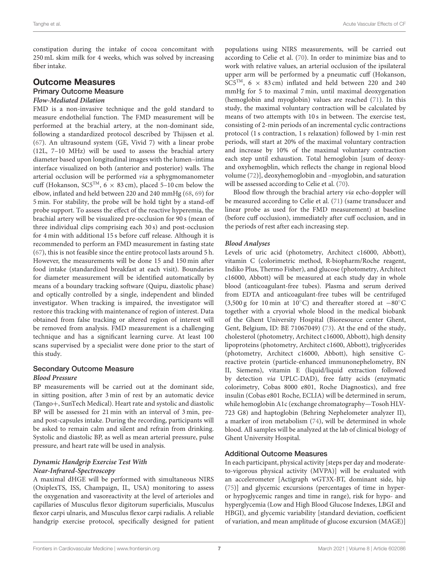constipation during the intake of cocoa concomitant with 250 mL skim milk for 4 weeks, which was solved by increasing fiber intake.

# Outcome Measures

# Primary Outcome Measure

# **Flow-Mediated Dilation**

FMD is a non-invasive technique and the gold standard to measure endothelial function. The FMD measurement will be performed at the brachial artery, at the non-dominant side, following a standardized protocol described by Thijssen et al. [\(67\)](#page-10-33). An ultrasound system (GE, Vivid 7) with a linear probe (12L, 7–10 MHz) will be used to assess the brachial artery diameter based upon longitudinal images with the lumen–intima interface visualized on both (anterior and posterior) walls. The arterial occlusion will be performed via a sphygmomanometer cuff (Hokanson, SC5<sup>TM</sup>,  $6 \times 83$  cm), placed 5–10 cm below the elbow, inflated and held between 220 and 240 mmHg [\(68,](#page-10-34) [69\)](#page-10-35) for 5 min. For stability, the probe will be hold tight by a stand-off probe support. To assess the effect of the reactive hyperemia, the brachial artery will be visualized pre-occlusion for 90 s (mean of three individual clips comprising each 30 s) and post-occlusion for 4 min with additional 15 s before cuff release. Although it is recommended to perform an FMD measurement in fasting state [\(67\)](#page-10-33), this is not feasible since the entire protocol lasts around 5 h. However, the measurements will be done 15 and 150 min after food intake (standardized breakfast at each visit). Boundaries for diameter measurement will be identified automatically by means of a boundary tracking software (Quipu, diastolic phase) and optically controlled by a single, independent and blinded investigator. When tracking is impaired, the investigator will restore this tracking with maintenance of region of interest. Data obtained from false tracking or altered region of interest will be removed from analysis. FMD measurement is a challenging technique and has a significant learning curve. At least 100 scans supervised by a specialist were done prior to the start of this study.

# Secondary Outcome Measure

#### **Blood Pressure**

BP measurements will be carried out at the dominant side, in sitting position, after 3 min of rest by an automatic device (Tango+, SunTech Medical). Heart rate and systolic and diastolic BP will be assessed for 21 min with an interval of 3 min, preand post-capsules intake. During the recording, participants will be asked to remain calm and silent and refrain from drinking. Systolic and diastolic BP, as well as mean arterial pressure, pulse pressure, and heart rate will be used in analysis.

#### **Dynamic Handgrip Exercise Test With Near-Infrared-Spectroscopy**

A maximal dHGE will be performed with simultaneous NIRS (OxiplexTS, ISS, Champaign, IL, USA) monitoring to assess the oxygenation and vasoreactivity at the level of arterioles and capillaries of Musculus flexor digitorum superficialis, Musculus flexor carpi ulnaris, and Musculus flexor carpi radialis. A reliable handgrip exercise protocol, specifically designed for patient populations using NIRS measurements, will be carried out according to Celie et al. [\(70\)](#page-10-36). In order to minimize bias and to work with relative values, an arterial occlusion of the ipsilateral upper arm will be performed by a pneumatic cuff (Hokanson, SC5<sup>TM</sup>,  $6 \times 83$  cm) inflated and held between 220 and 240 mmHg for 5 to maximal 7 min, until maximal deoxygenation (hemoglobin and myoglobin) values are reached [\(71\)](#page-10-37). In this study, the maximal voluntary contraction will be calculated by means of two attempts with 10 s in between. The exercise test, consisting of 2-min periods of an incremental cyclic contractions protocol (1 s contraction, 1 s relaxation) followed by 1-min rest periods, will start at 20% of the maximal voluntary contraction and increase by 10% of the maximal voluntary contraction each step until exhaustion. Total hemoglobin [sum of deoxyand oxyhemogblin, which reflects the change in regional blood volume [\(72\)](#page-10-38)], deoxyhemoglobin and –myoglobin, and saturation will be assessed according to Celie et al. [\(70\)](#page-10-36).

Blood flow through the brachial artery via echo-doppler will be measured according to Celie et al. [\(71\)](#page-10-37) (same transducer and linear probe as used for the FMD measurement) at baseline (before cuff occlusion), immediately after cuff occlusion, and in the periods of rest after each increasing step.

#### **Blood Analyses**

Levels of uric acid (photometry, Architect c16000, Abbott), vitamin C (colorimetric method, R-biopharm/Roche reagent, Indiko Plus, Thermo Fisher), and glucose (photometry, Architect c16000, Abbott) will be measured at each study day in whole blood (anticoagulant-free tubes). Plasma and serum derived from EDTA and anticoagulant-free tubes will be centrifuged (3,500 g for 10 min at 10◦C) and thereafter stored at −80◦C together with a cryovial whole blood in the medical biobank of the Ghent University Hospital (Bioresource center Ghent, Gent, Belgium, ID: BE 71067049) [\(73\)](#page-10-39). At the end of the study, cholesterol (photometry, Architect c16000, Abbott), high density lipoproteins (photometry, Architect c1600, Abbott), triglycerides (photometry, Architect c16000, Abbott), high sensitive Creactive protein (particle-enhanced immunonephelometry, BN II, Siemens), vitamin E (liquid/liquid extraction followed by detection via UPLC-DAD), free fatty acids (enzymatic colorimetry, Cobas 8000 e801, Roche Diagnostics), and free insulin (Cobas e801 Roche, ECLIA) will be determined in serum, while hemoglobin A1c (exchange chromatography—Tosoh HLV-723 G8) and haptoglobin (Behring Nephelometer analyzer II), a marker of iron metabolism [\(74\)](#page-11-0), will be determined in whole blood. All samples will be analyzed at the lab of clinical biology of Ghent University Hospital.

#### Additional Outcome Measures

In each participant, physical activity [steps per day and moderateto-vigorous physical activity (MVPA)] will be evaluated with an accelerometer [Actigraph wGT3X-BT, dominant side, hip [\(75\)](#page-11-1)] and glycemic excursions (percentages of time in hyperor hypoglycemic ranges and time in range), risk for hypo- and hyperglycemia (Low and High Blood Glucose Indexes, LBGI and HBGI), and glycemic variability [standard deviation, coefficient of variation, and mean amplitude of glucose excursion (MAGE)]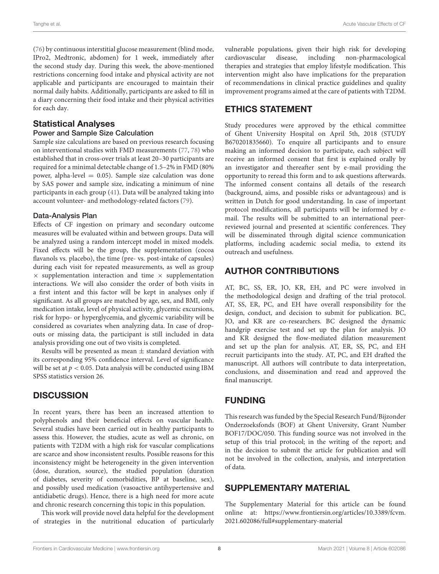[\(76\)](#page-11-2) by continuous interstitial glucose measurement (blind mode, IPro2, Medtronic, abdomen) for 1 week, immediately after the second study day. During this week, the above-mentioned restrictions concerning food intake and physical activity are not applicable and participants are encouraged to maintain their normal daily habits. Additionally, participants are asked to fill in a diary concerning their food intake and their physical activities for each day.

## Statistical Analyses

#### Power and Sample Size Calculation

Sample size calculations are based on previous research focusing on interventional studies with FMD measurements [\(77,](#page-11-3) [78\)](#page-11-4) who established that in cross-over trials at least 20–30 participants are required for a minimal detectable change of 1.5–2% in FMD (80% power, alpha-level  $= 0.05$ ). Sample size calculation was done by SAS power and sample size, indicating a minimum of nine participants in each group [\(41\)](#page-10-2). Data will be analyzed taking into account volunteer- and methodology-related factors [\(79\)](#page-11-5).

#### Data-Analysis Plan

Effects of CF ingestion on primary and secondary outcome measures will be evaluated within and between groups. Data will be analyzed using a random intercept model in mixed models. Fixed effects will be the group, the supplementation (cocoa flavanols vs. placebo), the time (pre- vs. post-intake of capsules) during each visit for repeated measurements, as well as group  $\times$  supplementation interaction and time  $\times$  supplementation interactions. We will also consider the order of both visits in a first intent and this factor will be kept in analyses only if significant. As all groups are matched by age, sex, and BMI, only medication intake, level of physical activity, glycemic excursions, risk for hypo- or hyperglycemia, and glycemic variability will be considered as covariates when analyzing data. In case of dropouts or missing data, the participant is still included in data analysis providing one out of two visits is completed.

Results will be presented as mean  $\pm$  standard deviation with its corresponding 95% confidence interval. Level of significance will be set at  $p < 0.05$ . Data analysis will be conducted using IBM SPSS statistics version 26.

## **DISCUSSION**

In recent years, there has been an increased attention to polyphenols and their beneficial effects on vascular health. Several studies have been carried out in healthy participants to assess this. However, the studies, acute as well as chronic, on patients with T2DM with a high risk for vascular complications are scarce and show inconsistent results. Possible reasons for this inconsistency might be heterogeneity in the given intervention (dose, duration, source), the studied population (duration of diabetes, severity of comorbidities, BP at baseline, sex), and possibly used medication (vasoactive antihypertensive and antidiabetic drugs). Hence, there is a high need for more acute and chronic research concerning this topic in this population.

This work will provide novel data helpful for the development of strategies in the nutritional education of particularly vulnerable populations, given their high risk for developing cardiovascular disease, including non-pharmacological therapies and strategies that employ lifestyle modification. This intervention might also have implications for the preparation of recommendations in clinical practice guidelines and quality improvement programs aimed at the care of patients with T2DM.

# ETHICS STATEMENT

Study procedures were approved by the ethical committee of Ghent University Hospital on April 5th, 2018 (STUDY B670201835660). To enquire all participants and to ensure making an informed decision to participate, each subject will receive an informed consent that first is explained orally by an investigator and thereafter sent by e-mail providing the opportunity to reread this form and to ask questions afterwards. The informed consent contains all details of the research (background, aims, and possible risks or advantageous) and is written in Dutch for good understanding. In case of important protocol modifications, all participants will be informed by email. The results will be submitted to an international peerreviewed journal and presented at scientific conferences. They will be disseminated through digital science communication platforms, including academic social media, to extend its outreach and usefulness.

# AUTHOR CONTRIBUTIONS

AT, BC, SS, ER, JO, KR, EH, and PC were involved in the methodological design and drafting of the trial protocol. AT, SS, ER, PC, and EH have overall responsibility for the design, conduct, and decision to submit for publication. BC, JO, and KR are co-researchers. BC designed the dynamic handgrip exercise test and set up the plan for analysis. JO and KR designed the flow-mediated dilation measurement and set up the plan for analysis. AT, ER, SS, PC, and EH recruit participants into the study. AT, PC, and EH drafted the manuscript. All authors will contribute to data interpretation, conclusions, and dissemination and read and approved the final manuscript.

# FUNDING

This research was funded by the Special Research Fund/Bijzonder Onderzoeksfonds (BOF) at Ghent University, Grant Number BOF17/DOC/050. This funding source was not involved in the setup of this trial protocol; in the writing of the report; and in the decision to submit the article for publication and will not be involved in the collection, analysis, and interpretation of data.

## SUPPLEMENTARY MATERIAL

The Supplementary Material for this article can be found [online at: https://www.frontiersin.org/articles/10.3389/fcvm.](https://www.frontiersin.org/articles/10.3389/fcvm.2021.602086/full#supplementary-material) 2021.602086/full#supplementary-material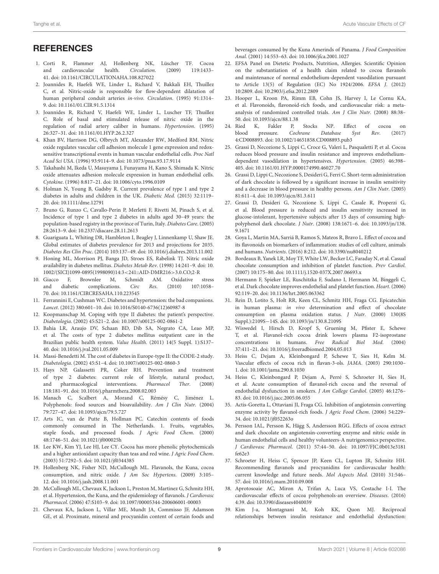# **REFERENCES**

- <span id="page-9-0"></span>1. Corti R, Flammer AJ, Hollenberg NK, Lüscher TF. Cocoa and cardiovascular health. Circulation. (2009) 119:1433– 41. doi: [10.1161/CIRCULATIONAHA.108.827022](https://doi.org/10.1161/CIRCULATIONAHA.108.827022)
- 2. Joannides R, Haefeli WE, Linder L, Richard V, Bakkali EH, Thuillez C, et al. Nitric-oxide is responsible for flow-dependent dilatation of human peripheral conduit arteries in-vivo. Circulation. (1995) 91:1314– 9. doi: [10.1161/01.CIR.91.5.1314](https://doi.org/10.1161/01.CIR.91.5.1314)
- 3. Joannides R, Richard V, Haefeli WE, Linder L, Luscher TF, Thuillez C. Role of basal and stimulated release of nitric oxide in the regulation of radial artery caliber in humans. Hypertension. (1995) 26:327–31. doi: [10.1161/01.HYP.26.2.327](https://doi.org/10.1161/01.HYP.26.2.327)
- 4. Khan BV, Harrison DG, Olbrych MT, Alexander RW, Medford RM. Nitric oxide regulates vascular cell adhesion molecule 1 gene expression and redoxsensitive transcriptional events in human vascular endothelial cells. Proc Natl Acad Sci USA. (1996) 93:9114–9. doi: [10.1073/pnas.93.17.9114](https://doi.org/10.1073/pnas.93.17.9114)
- <span id="page-9-1"></span>5. Takahashi M, Ikeda U, Masuyama J, Funayama H, Kano S, Shimada K. Nitric oxide attenuates adhesion molecule expression in human endothelial cells. Cytokine. (1996) 8:817–21. doi: [10.1006/cyto.1996.0109](https://doi.org/10.1006/cyto.1996.0109)
- <span id="page-9-2"></span>6. Holman N, Young B, Gadsby R. Current prevalence of type 1 and type 2 diabetes in adults and children in the UK. Diabetic Med. (2015) 32:1119– 20. doi: [10.1111/dme.12791](https://doi.org/10.1111/dme.12791)
- <span id="page-9-3"></span>7. Bruno G, Runzo C, Cavallo-Perin P, Merletti F, Rivetti M, Pinach S, et al. Incidence of type 1 and type 2 diabetes in adults aged 30–49 years: the population-based registry in the province of Turin, Italy. Diabetes Care. (2005) 28:2613–9. doi: [10.2337/diacare.28.11.2613](https://doi.org/10.2337/diacare.28.11.2613)
- <span id="page-9-4"></span>8. Guariguata L, Whiting DR, Hambleton I, Beagley J, Linnenkamp U, Shaw JE. Global estimates of diabetes prevalence for 2013 and projections for 2035. Diabetes Res Clin Prac. (2014) 103:137–49. doi: [10.1016/j.diabres.2013.11.002](https://doi.org/10.1016/j.diabres.2013.11.002)
- <span id="page-9-5"></span>9. Honing ML, Morrison PJ, Banga JD, Stroes ES, Rabelink TJ. Nitric oxide availability in diabetes mellitus. Diabetes Metab Rev. (1998) 14:241–9. doi: 10. [1002/\(SICI\)1099-0895\(1998090\)14:3](https://doi.org/10.1002/(SICI)1099-0895(1998090)14:3$<$241::AID-DMR216$>$3.0.CO;2-R)<241::AID-DMR216>3.0.CO;2-R
- <span id="page-9-6"></span>10. Giacco F, Brownlee M, Schmidt AM. Oxidative stress and diabetic complications. Circ Res. (2010) 107:1058– 70. doi: [10.1161/CIRCRESAHA.110.223545](https://doi.org/10.1161/CIRCRESAHA.110.223545)
- <span id="page-9-7"></span>11. Ferrannini E, Cushman WC. Diabetes and hypertension: the bad companions. Lancet. (2012) 380:601–10. doi: [10.1016/S0140-6736\(12\)60987-8](https://doi.org/10.1016/S0140-6736(12)60987-8)
- <span id="page-9-8"></span>12. Koopmanschap M. Coping with type II diabetes: the patient's perspective. Diabetologia. (2002) 45:S21–2. doi: [10.1007/s00125-002-0861-2](https://doi.org/10.1007/s00125-002-0861-2)
- 13. Bahia LR, Araujo DV, Schaan BD, Dib SA, Negrato CA, Leao MP, et al. The costs of type 2 diabetes mellitus outpatient care in the Brazilian public health system. Value Health. (2011) 14(5 Suppl. 1):S137– 40. doi: [10.1016/j.jval.2011.05.009](https://doi.org/10.1016/j.jval.2011.05.009)
- 14. Massi-Benedetti M. The cost of diabetes in Europe-type II: the CODE-2 study. Diabetologia. (2002) 45:S1–4. doi: [10.1007/s00125-002-0860-3](https://doi.org/10.1007/s00125-002-0860-3)
- <span id="page-9-9"></span>15. Hays NP, Galassetti PR, Coker RH. Prevention and treatment of type 2 diabetes: current role of lifestyle, natural product, and pharmacological interventions. Pharmacol Ther. (2008) 118:181–91. doi: [10.1016/j.pharmthera.2008.02.003](https://doi.org/10.1016/j.pharmthera.2008.02.003)
- <span id="page-9-10"></span>16. Manach C, Scalbert A, Morand C, Rémésy C, Jiménez L. Polyphenols: food sources and bioavailability. Am J Clin Nutr. (2004) 79:727–47. doi: [10.1093/ajcn/79.5.727](https://doi.org/10.1093/ajcn/79.5.727)
- <span id="page-9-11"></span>17. Arts IC, van de Putte B, Hollman PC. Catechin contents of foods commonly consumed in The Netherlands. 1. Fruits, vegetables, staple foods, and processed foods. J Agric Food Chem. (2000) 48:1746–51. doi: [10.1021/jf000025h](https://doi.org/10.1021/jf000025h)
- <span id="page-9-12"></span>18. Lee KW, Kim YJ, Lee HJ, Lee CY. Cocoa has more phenolic phytochemicals and a higher antioxidant capacity than teas and red wine. J Agric Food Chem. (2003) 51:7292–5. doi: [10.1021/jf0344385](https://doi.org/10.1021/jf0344385)
- <span id="page-9-13"></span>19. Hollenberg NK, Fisher ND, McCullough ML. Flavanols, the Kuna, cocoa consumption, and nitric oxide. J Am Soc Hypertens. (2009) 3:105– 12. doi: [10.1016/j.jash.2008.11.001](https://doi.org/10.1016/j.jash.2008.11.001)
- 20. McCullough ML, Chevaux K, Jackson L, Preston M, Martinez G, Schmitz HH, et al. Hypertension, the Kuna, and the epidemiology of flavanols. J Cardiovasc Pharmacol. (2006) 47:S103–9. doi: [10.1097/00005344-200606001-00003](https://doi.org/10.1097/00005344-200606001-00003)
- <span id="page-9-14"></span>21. Chevaux KA, Jackson L, Villar ME, Mundt JA, Commisso JF, Adamson GE, et al. Proximate, mineral and procyanidin content of certain foods and

beverages consumed by the Kuna Amerinds of Panama. J Food Composition Anal. (2001) 14:553–63. doi: [10.1006/jfca.2001.1027](https://doi.org/10.1006/jfca.2001.1027)

- <span id="page-9-15"></span>22. EFSA Panel on Dietetic Products, Nutrition, Allergies. Scientific Opinion on the substantiation of a health claim related to cocoa flavanols and maintenance of normal endothelium-dependent vasodilation pursuant to Article 13(5) of Regulation (EC) No 1924/2006. EFSA J. (2012) 10:2809. doi: [10.2903/j.efsa.2012.2809](https://doi.org/10.2903/j.efsa.2012.2809)
- <span id="page-9-16"></span>23. Hooper L, Kroon PA, Rimm EB, Cohn JS, Harvey I, Le Cornu KA, et al. Flavonoids, flavonoid-rich foods, and cardiovascular risk: a metaanalysis of randomized controlled trials. Am J Clin Nutr. (2008) 88:38– 50. doi: [10.1093/ajcn/88.1.38](https://doi.org/10.1093/ajcn/88.1.38)
- <span id="page-9-17"></span>24. Ried K, Fakler P, Stocks NP. Effect of cocoa on blood pressure. Cochrane Database Syst Rev. (2017) 4:CD008893. doi: [10.1002/14651858.CD008893.pub3](https://doi.org/10.1002/14651858.CD008893.pub3)
- <span id="page-9-18"></span>25. Grassi D, Necozione S, Lippi C, Croce G, Valeri L, Pasqualetti P, et al. Cocoa reduces blood pressure and insulin resistance and improves endotheliumdependent vasodilation in hypertensives. Hypertension. (2005) 46:398– 405. doi: [10.1161/01.HYP.0000174990.46027.70](https://doi.org/10.1161/01.HYP.0000174990.46027.70)
- 26. Grassi D, Lippi C, Necozione S, Desideri G, Ferri C. Short-term administration of dark chocolate is followed by a significant increase in insulin sensitivity and a decrease in blood pressure in healthy persons. Am J Clin Nutr. (2005) 81:611–4. doi: [10.1093/ajcn/81.3.611](https://doi.org/10.1093/ajcn/81.3.611)
- <span id="page-9-19"></span>27. Grassi D, Desideri G, Necozione S, Lippi C, Casale R, Properzi G, et al. Blood pressure is reduced and insulin sensitivity increased in glucose-intolerant, hypertensive subjects after 15 days of consuming highpolyphenol dark chocolate. J Nutr[. \(2008\) 138:1671–6. doi: 10.1093/jn/138.](https://doi.org/10.1093/jn/138.9.1671) 9.1671
- <span id="page-9-20"></span>28. Goya L, Martin MA, Sarriá B, Ramos S, Mateos R, Bravo L. Effect of cocoa and its flavonoids on biomarkers of inflammation: studies of cell culture, animals and humans. Nutrients. (2016) 8:212. doi: [10.3390/nu8040212](https://doi.org/10.3390/nu8040212)
- <span id="page-9-21"></span>29. Bordeaux B, Yanek LR, Moy TF, White LW, Becker LC, Faraday N, et al. Casual chocolate consumption and inhibition of platelet function. Prev Cardiol. (2007) 10:175–80. doi: [10.1111/j.1520-037X.2007.06693.x](https://doi.org/10.1111/j.1520-037X.2007.06693.x)
- <span id="page-9-22"></span>30. Hermann F, Spieker LE, Ruschitzka F, Sudano I, Hermann M, Binggeli C, et al. Dark chocolate improves endothelial and platelet function. Heart. (2006) 92:119–20. doi: [10.1136/hrt.2005.063362](https://doi.org/10.1136/hrt.2005.063362)
- <span id="page-9-23"></span>31. Rein D, Lotito S, Holt RR, Keen CL, Schmitz HH, Fraga CG. Epicatechin in human plasma: in vivo determination and effect of chocolate consumption on plasma oxidation status. J Nutr. (2000) 130(8S Suppl.):2109S−14S. doi: [10.1093/jn/130.8.2109S](https://doi.org/10.1093/jn/130.8.2109S)
- <span id="page-9-24"></span>32. Wiswedel I, Hirsch D, Kropf S, Gruening M, Pfister E, Schewe T, et al. Flavanol-rich cocoa drink lowers plasma F2-isoprostane concentrations in humans. Free Radical Biol Med. (2004) 37:411–21. doi: [10.1016/j.freeradbiomed.2004.05.013](https://doi.org/10.1016/j.freeradbiomed.2004.05.013)
- <span id="page-9-25"></span>33. Heiss C, Dejam A, Kleinbongard P, Schewe T, Sies H, Kelm M. Vascular effects of cocoa rich in flavan-3-ols. JAMA. (2003) 290:1030– 1. doi: [10.1001/jama.290.8.1030](https://doi.org/10.1001/jama.290.8.1030)
- <span id="page-9-26"></span>34. Heiss C, Kleinbongard P, Dejam A, Perré S, Schroeter H, Sies H, et al. Acute consumption of flavanol-rich cocoa and the reversal of endothelial dysfunction in smokers. J Am College Cardiol. (2005) 46:1276– 83. doi: [10.1016/j.jacc.2005.06.055](https://doi.org/10.1016/j.jacc.2005.06.055)
- <span id="page-9-27"></span>35. Actis-Goretta L, Ottaviani JI, Fraga CG. Inhibition of angiotensin converting enzyme activity by flavanol-rich foods. J Agric Food Chem. (2006) 54:229– 34. doi: [10.1021/jf052263o](https://doi.org/10.1021/jf052263o)
- <span id="page-9-28"></span>36. Persson IAL, Persson K, Hägg S, Andersson RGG. Effects of cocoa extract and dark chocolate on angiotensin-converting enzyme and nitric oxide in human endothelial cells and healthy volunteers-A nutrigenomics perspective. J Cardiovasc Pharmacol[. \(2011\) 57:44–50. doi: 10.1097/FJC.0b013e3181](https://doi.org/10.1097/FJC.0b013e3181fe62e3) fe62e3
- <span id="page-9-29"></span>37. Schroeter H, Heiss C, Spencer JP, Keen CL, Lupton JR, Schmitz HH. Recommending flavanols and procyanidins for cardiovascular health: current knowledge and future needs. Mol Aspects Med. (2010) 31:546– 57. doi: [10.1016/j.mam.2010.09.008](https://doi.org/10.1016/j.mam.2010.09.008)
- <span id="page-9-30"></span>38. Aprotosoaie AC, Miron A, Trifan A, Luca VS, Costache I-I. The cardiovascular effects of cocoa polyphenols-an overview. Diseases. (2016) 4:39. doi: [10.3390/diseases4040039](https://doi.org/10.3390/diseases4040039)
- <span id="page-9-31"></span>39. Kim J-a, Montagnani M, Koh KK, Quon MJ. Reciprocal relationships between insulin resistance and endothelial dysfunction: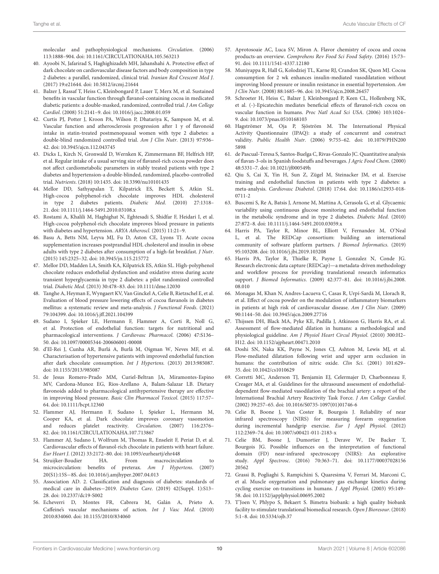molecular and pathophysiological mechanisms. Circulation. (2006) 113:1888–904. doi: [10.1161/CIRCULATIONAHA.105.563213](https://doi.org/10.1161/CIRCULATIONAHA.105.563213)

- <span id="page-10-0"></span>40. Ayoobi N, Jafarirad S, Haghighizadeh MH, Jahanshahi A. Protective effect of dark chocolate on cardiovascular disease factors and body composition in type 2 diabetes: a parallel, randomized, clinical trial. Iranian Red Crescent Med J. (2017) 19:e21644. doi: [10.5812/ircmj.21644](https://doi.org/10.5812/ircmj.21644)
- <span id="page-10-2"></span>41. Balzer J, Rassaf T, Heiss C, Kleinbongard P, Lauer T, Merx M, et al. Sustained benefits in vascular function through flavanol-containing cocoa in medicated diabetic patients: a double-masked, randomized, controlled trial. J Am College Cardiol. (2008) 51:2141–9. doi: [10.1016/j.jacc.2008.01.059](https://doi.org/10.1016/j.jacc.2008.01.059)
- <span id="page-10-3"></span>42. Curtis PJ, Potter J, Kroon PA, Wilson P, Dhatariya K, Sampson M, et al. Vascular function and atherosclerosis progression after 1 y of flavonoid intake in statin-treated postmenopausal women with type 2 diabetes: a double-blind randomized controlled trial. Am J Clin Nutr. (2013) 97:936– 42. doi: [10.3945/ajcn.112.043745](https://doi.org/10.3945/ajcn.112.043745)
- 43. Dicks L, Kirch N, Gronwald D, Wernken K, Zimmermann BF, Helfrich HP, et al. Regular intake of a usual serving size of flavanol-rich cocoa powder does not affect cardiometabolic parameters in stably treated patients with type 2 diabetes and hypertension-a double-blinded, randomized, placebo-controlled trial. Nutrients. (2018) 10:1435. doi: [10.3390/nu10101435](https://doi.org/10.3390/nu10101435)
- 44. Mellor DD, Sathyapalan T, Kilpatrick ES, Beckett S, Atkin SL. High-cocoa polyphenol-rich chocolate improves HDL cholesterol in type 2 diabetes patients. Diabetic Med. (2010) 27:1318– 21. doi: [10.1111/j.1464-5491.2010.03108.x](https://doi.org/10.1111/j.1464-5491.2010.03108.x)
- <span id="page-10-1"></span>45. Rostami A, Khalili M, Haghighat N, Eghtesadi S, Shidfar F, Heidari I, et al. High-cocoa polyphenol-rich chocolate improves blood pressure in patients with diabetes and hypertension. ARYA Atheroscl. (2015) 11:21–9.
- <span id="page-10-14"></span>46. Basu A, Betts NM, Leyva MJ, Fu D, Aston CE, Lyons TJ. Acute cocoa supplementation increases postprandial HDL cholesterol and insulin in obese adults with type 2 diabetes after consumption of a high-fat breakfast. J Nutr. (2015) 145:2325–32. doi: [10.3945/jn.115.215772](https://doi.org/10.3945/jn.115.215772)
- <span id="page-10-15"></span>47. Mellor DD, Madden LA, Smith KA, Kilpatrick ES, Atkin SL. High-polyphenol chocolate reduces endothelial dysfunction and oxidative stress during acute transient hyperglycaemia in type 2 diabetes: a pilot randomized controlled trial. Diabetic Med. (2013) 30:478–83. doi: [10.1111/dme.12030](https://doi.org/10.1111/dme.12030)
- <span id="page-10-4"></span>48. Tanghe A, Heyman E, Wyngaert KV, Van Ginckel A, Celie B, Rietzschel E, et al. Evaluation of blood pressure lowering effects of cocoa flavanols in diabetes mellitus: a systematic review and meta-analysis. J Functional Foods. (2021) 79:104399. doi: [10.1016/j.jff.2021.104399](https://doi.org/10.1016/j.jff.2021.104399)
- <span id="page-10-5"></span>49. Sudano I, Spieker LE, Hermann F, Flammer A, Corti R, Noll G, et al. Protection of endothelial function: targets for nutritional and pharmacological interventions. J Cardiovasc Pharmacol. (2006) 47:S136– 50. doi: [10.1097/00005344-200606001-00008](https://doi.org/10.1097/00005344-200606001-00008)
- <span id="page-10-16"></span>50. d'El-Rei J, Cunha AR, Burlá A, Burlá M, Oigman W, Neves MF, et al. Characterisation of hypertensive patients with improved endothelial function after dark chocolate consumption. Int J Hypertens. (2013) 2013:985087. doi: [10.1155/2013/985087](https://doi.org/10.1155/2013/985087)
- <span id="page-10-17"></span>51. de Jesus Romero-Prado MM, Curiel-Beltran JA, Miramontes-Espino MV, Cardona-Munoz EG, Rios-Arellano A, Balam-Salazar LB. Dietary flavonoids added to pharmacological antihypertensive therapy are effective in improving blood pressure. Basic Clin Pharmacol Toxicol. (2015) 117:57– 64. doi: [10.1111/bcpt.12360](https://doi.org/10.1111/bcpt.12360)
- <span id="page-10-18"></span>52. Flammer AJ, Hermann F, Sudano I, Spieker L, Hermann M, Cooper KA, et al. Dark chocolate improves coronary vasomotion and reduces platelet reactivity. Circulation. (2007) 116:2376– 82. doi: [10.1161/CIRCULATIONAHA.107.713867](https://doi.org/10.1161/CIRCULATIONAHA.107.713867)
- <span id="page-10-19"></span>53. Flammer AJ, Sudano I, Wolfrum M, Thomas R, Enseleit F, Periat D, et al. Cardiovascular effects of flavanol-rich chocolate in patients with heart failure. Eur Heart J. (2012) 33:2172–80. doi: [10.1093/eurheartj/ehr448](https://doi.org/10.1093/eurheartj/ehr448)
- <span id="page-10-20"></span>54. Struijker-Boudier HA. From macrocirculation to microcirculation: benefits of preterax. Am J Hypertens. (2007) 20(S1):15S−8S. doi: [10.1016/j.amjhyper.2007.04.013](https://doi.org/10.1016/j.amjhyper.2007.04.013)
- <span id="page-10-23"></span>55. Association AD. 2. Classification and diagnosis of diabetes: standards of medical care in diabetes−2019. Diabetes Care. (2019) 42(Suppl. 1):S13– 28. doi: [10.2337/dc19-S002](https://doi.org/10.2337/dc19-S002)
- <span id="page-10-21"></span>56. Echeverri D, Montes FR, Cabrera M, Galán A, Prieto A. Caffeine's vascular mechanisms of action. Int J Vasc Med. (2010) 2010:834060. doi: [10.1155/2010/834060](https://doi.org/10.1155/2010/834060)
- <span id="page-10-22"></span><span id="page-10-13"></span><span id="page-10-12"></span><span id="page-10-11"></span><span id="page-10-10"></span><span id="page-10-9"></span><span id="page-10-8"></span><span id="page-10-7"></span><span id="page-10-6"></span>57. Aprotosoaie AC, Luca SV, Miron A. Flavor chemistry of cocoa and cocoa products-an overview. Comprehens Rev Food Sci Food Safety. (2016) 15:73– 91. doi: [10.1111/1541-4337.12180](https://doi.org/10.1111/1541-4337.12180)
- <span id="page-10-24"></span>58. Muniyappa R, Hall G, Kolodziej TL, Karne RJ, Crandon SK, Quon MJ. Cocoa consumption for 2 wk enhances insulin-mediated vasodilatation without improving blood pressure or insulin resistance in essential hypertension. Am J Clin Nutr. (2008) 88:1685–96. doi: [10.3945/ajcn.2008.26457](https://doi.org/10.3945/ajcn.2008.26457)
- <span id="page-10-25"></span>59. Schroeter H, Heiss C, Balzer J, Kleinbongard P, Keen CL, Hollenberg NK, et al. (-)-Epicatechin mediates beneficial effects of flavanol-rich cocoa on vascular function in humans. Proc Natl Acad Sci USA. (2006) 103:1024– 9. doi: [10.1073/pnas.0510168103](https://doi.org/10.1073/pnas.0510168103)
- <span id="page-10-26"></span>60. Hagströmer M, Oja P, Sjöström M. The International Physical Activity Questionnaire (IPAQ): a study of concurrent and construct validity. Public Health Nutr[. \(2006\) 9:755–62. doi: 10.1079/PHN200](https://doi.org/10.1079/PHN2005898) 5898
- <span id="page-10-27"></span>61. de Pascual-Teresa S, Santos-Buelga C, Rivas-Gonzalo JC. Quantitative analysis of flavan-3-ols in Spanish foodstuffs and beverages. J Agric Food Chem. (2000) 48:5331–7. doi: [10.1021/jf000549h](https://doi.org/10.1021/jf000549h)
- <span id="page-10-28"></span>62. Qiu S, Cai X, Yin H, Sun Z, Zügel M, Steinacker JM, et al. Exercise training and endothelial function in patients with type 2 diabetes: a meta-analysis. Cardiovasc Diabetol[. \(2018\) 17:64. doi: 10.1186/s12933-018-](https://doi.org/10.1186/s12933-018-0711-2) 0711-2
- <span id="page-10-29"></span>63. Buscemi S, Re A, Batsis J, Arnone M, Mattina A, Cerasola G, et al. Glycaemic variability using continuous glucose monitoring and endothelial function in the metabolic syndrome and in type 2 diabetes. Diabetic Med. (2010) 27:872–8. doi: [10.1111/j.1464-5491.2010.03059.x](https://doi.org/10.1111/j.1464-5491.2010.03059.x)
- <span id="page-10-30"></span>64. Harris PA, Taylor R, Minor BL, Elliott V, Fernandez M, O'Neal L, et al. The REDCap consortium: building an international community of software platform partners. J Biomed Informatics. (2019) 95:103208. doi: [10.1016/j.jbi.2019.103208](https://doi.org/10.1016/j.jbi.2019.103208)
- <span id="page-10-31"></span>65. Harris PA, Taylor R, Thielke R, Payne J, Gonzalez N, Conde JG. Research electronic data capture (REDCap)—a metadata-driven methodology and workflow process for providing translational research informatics support. J Biomed Informatics[. \(2009\) 42:377–81. doi: 10.1016/j.jbi.2008.](https://doi.org/10.1016/j.jbi.2008.08.010) 08.010
- <span id="page-10-32"></span>66. Monagas M, Khan N, Andres-Lacueva C, Casas R, Urpí-Sardà M, Llorach R, et al. Effect of cocoa powder on the modulation of inflammatory biomarkers in patients at high risk of cardiovascular disease. Am J Clin Nutr. (2009) 90:1144–50. doi: [10.3945/ajcn.2009.27716](https://doi.org/10.3945/ajcn.2009.27716)
- <span id="page-10-33"></span>67. Thijssen DH, Black MA, Pyke KE, Padilla J, Atkinson G, Harris RA, et al. Assessment of flow-mediated dilation in humans: a methodological and physiological guideline. Am J Physiol Heart Circul Physiol. (2010) 300:H2– H12. doi: [10.1152/ajpheart.00471.2010](https://doi.org/10.1152/ajpheart.00471.2010)
- <span id="page-10-34"></span>68. Doshi SN, Naka KK, Payne N, Jones CJ, Ashton M, Lewis MJ, et al. Flow-mediated dilatation following wrist and upper arm occlusion in humans: the contribution of nitric oxide. Clin Sci. (2001) 101:629-35. doi: [10.1042/cs1010629](https://doi.org/10.1042/cs1010629)
- <span id="page-10-35"></span>69. Corretti MC, Anderson TJ, Benjamin EJ, Celermajer D, Charbonneau F, Creager MA, et al. Guidelines for the ultrasound assessment of endothelialdependent flow-mediated vasodilation of the brachial artery: a report of the International Brachial Artery Reactivity Task Force. J Am College Cardiol. (2002) 39:257–65. doi: [10.1016/S0735-1097\(01\)01746-6](https://doi.org/10.1016/S0735-1097(01)01746-6)
- <span id="page-10-36"></span>70. Celie B, Boone J, Van Coster R, Bourgois J. Reliability of near infrared spectroscopy (NIRS) for measuring forearm oxygenation during incremental handgrip exercise. Eur J Appl Physiol. (2012) 112:2369–74. doi: [10.1007/s00421-011-2183-x](https://doi.org/10.1007/s00421-011-2183-x)
- <span id="page-10-37"></span>71. Celie BM, Boone J, Dumortier J, Derave W, De Backer T, Bourgois JG. Possible influences on the interpretation of functional domain (FD) near-infrared spectroscopy (NIRS): An explorative study. Appl Spectrosc[. \(2016\) 70:363–71. doi: 10.1177/00037028156](https://doi.org/10.1177/0003702815620562) 20562
- <span id="page-10-38"></span>72. Grassi B, Pogliaghi S, Rampichini S, Quaresima V, Ferrari M, Marconi C, et al. Muscle oxygenation and pulmonary gas exchange kinetics during cycling exercise on-transitions in humans. J Appl Physiol. (2003) 95:149– 58. doi: [10.1152/japplphysiol.00695.2002](https://doi.org/10.1152/japplphysiol.00695.2002)
- <span id="page-10-39"></span>73. T'Joen V, Phlypo S, Bekaert S. Bimetra biobank: a high quality biobank facility to stimulate translational biomedical research. Open J Bioresour. (2018) 5:1–8. doi: [10.5334/ojb.37](https://doi.org/10.5334/ojb.37)